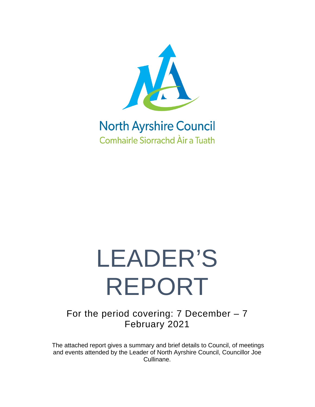

### **North Ayrshire Council Comhairle Siorrachd Àir a Tuath**

# LEADER'S REPORT

For the period covering: 7 December – 7 February 2021

The attached report gives a summary and brief details to Council, of meetings and events attended by the Leader of North Ayrshire Council, Councillor Joe Cullinane.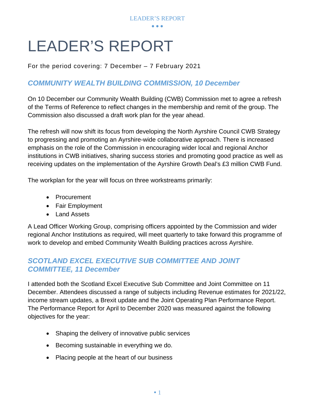

## LEADER'S REPORT

For the period covering: 7 December – 7 February 2021

#### *COMMUNITY WEALTH BUILDING COMMISSION, 10 December*

On 10 December our Community Wealth Building (CWB) Commission met to agree a refresh of the Terms of Reference to reflect changes in the membership and remit of the group. The Commission also discussed a draft work plan for the year ahead.

The refresh will now shift its focus from developing the North Ayrshire Council CWB Strategy to progressing and promoting an Ayrshire-wide collaborative approach. There is increased emphasis on the role of the Commission in encouraging wider local and regional Anchor institutions in CWB initiatives, sharing success stories and promoting good practice as well as receiving updates on the implementation of the Ayrshire Growth Deal's £3 million CWB Fund.

The workplan for the year will focus on three workstreams primarily:

- Procurement
- Fair Employment
- Land Assets

A Lead Officer Working Group, comprising officers appointed by the Commission and wider regional Anchor Institutions as required, will meet quarterly to take forward this programme of work to develop and embed Community Wealth Building practices across Ayrshire.

#### *SCOTLAND EXCEL EXECUTIVE SUB COMMITTEE AND JOINT COMMITTEE, 11 December*

I attended both the Scotland Excel Executive Sub Committee and Joint Committee on 11 December. Attendees discussed a range of subjects including Revenue estimates for 2021/22, income stream updates, a Brexit update and the Joint Operating Plan Performance Report. The Performance Report for April to December 2020 was measured against the following objectives for the year:

- Shaping the delivery of innovative public services
- Becoming sustainable in everything we do.
- Placing people at the heart of our business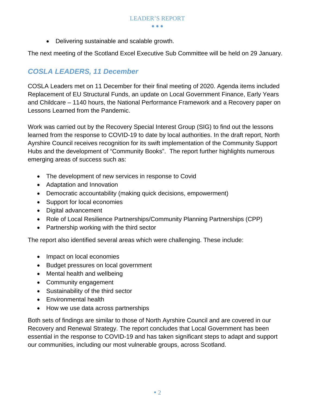• Delivering sustainable and scalable growth.

The next meeting of the Scotland Excel Executive Sub Committee will be held on 29 January.

#### *COSLA LEADERS, 11 December*

COSLA Leaders met on 11 December for their final meeting of 2020. Agenda items included Replacement of EU Structural Funds, an update on Local Government Finance, Early Years and Childcare – 1140 hours, the National Performance Framework and a Recovery paper on Lessons Learned from the Pandemic.

Work was carried out by the Recovery Special Interest Group (SIG) to find out the lessons learned from the response to COVID-19 to date by local authorities. In the draft report, North Ayrshire Council receives recognition for its swift implementation of the Community Support Hubs and the development of "Community Books". The report further highlights numerous emerging areas of success such as:

- The development of new services in response to Covid
- Adaptation and Innovation
- Democratic accountability (making quick decisions, empowerment)
- Support for local economies
- Digital advancement
- Role of Local Resilience Partnerships/Community Planning Partnerships (CPP)
- Partnership working with the third sector

The report also identified several areas which were challenging. These include:

- Impact on local economies
- Budget pressures on local government
- Mental health and wellbeing
- Community engagement
- Sustainability of the third sector
- Environmental health
- How we use data across partnerships

Both sets of findings are similar to those of North Ayrshire Council and are covered in our Recovery and Renewal Strategy. The report concludes that Local Government has been essential in the response to COVID-19 and has taken significant steps to adapt and support our communities, including our most vulnerable groups, across Scotland.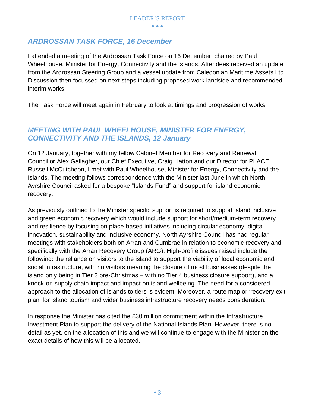#### *ARDROSSAN TASK FORCE, 16 December*

I attended a meeting of the Ardrossan Task Force on 16 December, chaired by Paul Wheelhouse, Minister for Energy, Connectivity and the Islands. Attendees received an update from the Ardrossan Steering Group and a vessel update from Caledonian Maritime Assets Ltd. Discussion then focussed on next steps including proposed work landside and recommended interim works.

The Task Force will meet again in February to look at timings and progression of works.

#### *MEETING WITH PAUL WHEELHOUSE, MINISTER FOR ENERGY, CONNECTIVITY AND THE ISLANDS, 12 January*

On 12 January, together with my fellow Cabinet Member for Recovery and Renewal, Councillor Alex Gallagher, our Chief Executive, Craig Hatton and our Director for PLACE, Russell McCutcheon, I met with Paul Wheelhouse, Minister for Energy, Connectivity and the Islands. The meeting follows correspondence with the Minister last June in which North Ayrshire Council asked for a bespoke "Islands Fund" and support for island economic recovery.

As previously outlined to the Minister specific support is required to support island inclusive and green economic recovery which would include support for short/medium-term recovery and resilience by focusing on place-based initiatives including circular economy, digital innovation, sustainability and inclusive economy. North Ayrshire Council has had regular meetings with stakeholders both on Arran and Cumbrae in relation to economic recovery and specifically with the Arran Recovery Group (ARG). High-profile issues raised include the following: the reliance on visitors to the island to support the viability of local economic and social infrastructure, with no visitors meaning the closure of most businesses (despite the island only being in Tier 3 pre-Christmas – with no Tier 4 business closure support), and a knock-on supply chain impact and impact on island wellbeing. The need for a considered approach to the allocation of islands to tiers is evident. Moreover, a route map or 'recovery exit plan' for island tourism and wider business infrastructure recovery needs consideration.

In response the Minister has cited the £30 million commitment within the Infrastructure Investment Plan to support the delivery of the National Islands Plan. However, there is no detail as yet, on the allocation of this and we will continue to engage with the Minister on the exact details of how this will be allocated.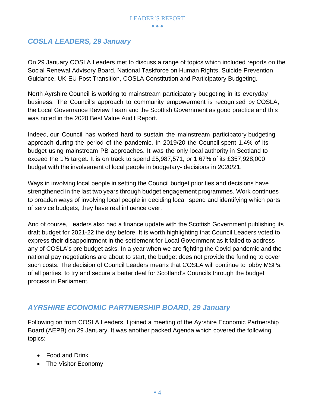#### *COSLA LEADERS, 29 January*

On 29 January COSLA Leaders met to discuss a range of topics which included reports on the Social Renewal Advisory Board, National Taskforce on Human Rights, Suicide Prevention Guidance, UK-EU Post Transition, COSLA Constitution and Participatory Budgeting.

North Ayrshire Council is working to mainstream participatory budgeting in its everyday business. The Council's approach to community empowerment is recognised by COSLA, the Local Governance Review Team and the Scottish Government as good practice and this was noted in the 2020 Best Value Audit Report.

Indeed, our Council has worked hard to sustain the mainstream participatory budgeting approach during the period of the pandemic. In 2019/20 the Council spent 1.4% of its budget using mainstream PB approaches. It was the only local authority in Scotland to exceed the 1% target. It is on track to spend £5,987,571, or 1.67% of its £357,928,000 budget with the involvement of local people in budgetary- decisions in 2020/21.

Ways in involving local people in setting the Council budget priorities and decisions have strengthened in the last two years through budget engagement programmes. Work continues to broaden ways of involving local people in deciding local spend and identifying which parts of service budgets, they have real influence over.

And of course, Leaders also had a finance update with the Scottish Government publishing its draft budget for 2021-22 the day before. It is worth highlighting that Council Leaders voted to express their disappointment in the settlement for Local Government as it failed to address any of COSLA's pre budget asks. In a year when we are fighting the Covid pandemic and the national pay negotiations are about to start, the budget does not provide the funding to cover such costs. The decision of Council Leaders means that COSLA will continue to lobby MSPs, of all parties, to try and secure a better deal for Scotland's Councils through the budget process in Parliament.

#### *AYRSHIRE ECONOMIC PARTNERSHIP BOARD, 29 January*

Following on from COSLA Leaders, I joined a meeting of the Ayrshire Economic Partnership Board (AEPB) on 29 January. It was another packed Agenda which covered the following topics:

- Food and Drink
- The Visitor Economy